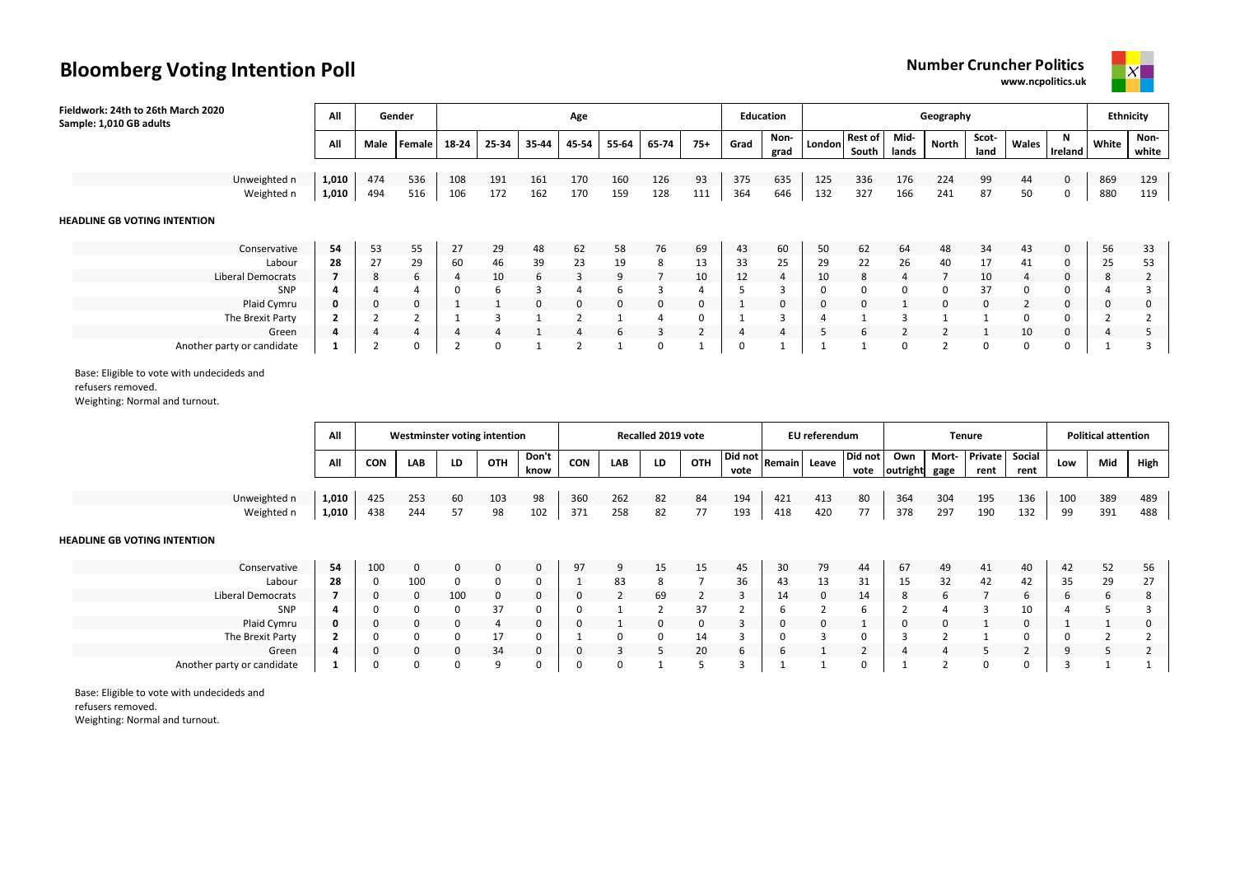**www.ncpolitics.uk**



| Fieldwork: 24th to 26th March 2020<br>Sample: 1,010 GB adults | All   |             | Gender |       |          |       | Age   |       |              |                |      | <b>Education</b> |               |                         |               | Geography |               |                |              | Ethnicity |                |
|---------------------------------------------------------------|-------|-------------|--------|-------|----------|-------|-------|-------|--------------|----------------|------|------------------|---------------|-------------------------|---------------|-----------|---------------|----------------|--------------|-----------|----------------|
|                                                               | All   | Male        | Female | 18-24 | 25-34    | 35-44 | 45-54 | 55-64 | 65-74        | $75+$          | Grad | Non-<br>grad     | <b>London</b> | <b>Rest of</b><br>South | Mid-<br>lands | North     | Scot-<br>land | Wales          | N<br>Ireland | White     | Non-<br>white  |
| Unweighted n                                                  | 1,010 | 474         | 536    | 108   | 191      | 161   | 170   | 160   | 126          | 93             | 375  | 635              | 125           | 336                     | 176           | 224       | 99            | 44             | 0            | 869       | 129            |
| Weighted n                                                    | 1,010 | 494         | 516    | 106   | 172      | 162   | 170   | 159   | 128          | 111            | 364  | 646              | 132           | 327                     | 166           | 241       | 87            | 50             | 0            | 880       | 119            |
| <b>HEADLINE GB VOTING INTENTION</b>                           |       |             |        |       |          |       |       |       |              |                |      |                  |               |                         |               |           |               |                |              |           |                |
| Conservative                                                  | 54    | 53          | 55     | 27    | 29       | 48    | 62    | 58    | 76           | 69             | 43   | 60               | 50            | 62                      | 64            | 48        | 34            | 43             | 0            | 56        | 33             |
| Labour                                                        | 28    | 27          | 29     | 60    | 46       | 39    | 23    | 19    | 8            | 13             | 33   | 25               | 29            | 22                      | 26            | 40        | 17            | 41             | 0            | 25        | 53             |
| Liberal Democrats                                             |       | 8           | 6      |       | 10       | 6     | 3     | 9     |              | 10             | 12   | 4                | 10            | 8                       | 4             |           | 10            | 4              | 0            | 8         | $\overline{2}$ |
| SNP                                                           |       |             | 4      | 0     | 6        | 3     | 4     | 6     |              | 4              |      |                  |               | 0                       | 0             | 0         | 37            | 0              | 0            |           | 3              |
| Plaid Cymru                                                   | 0     | $\mathbf 0$ | 0      |       |          | 0     | 0     | 0     | $\mathbf{0}$ | 0              |      | 0                | 0             | 0                       |               | 0         | $\mathbf{0}$  | $\overline{2}$ | $\mathbf 0$  | U         | $\mathbf 0$    |
| The Brexit Party                                              |       |             |        |       |          |       |       |       | 4            | 0              |      | 3                |               |                         |               |           |               | 0              | 0            |           |                |
| Green                                                         | 4     | 4           | 4      | 4     | 4        |       | 4     | 6     | 3            | $\overline{2}$ | 4    | 4                |               | 6                       |               |           |               | 10             | $\mathbf{0}$ |           | כ              |
| Another party or candidate                                    |       |             | 0      |       | $\Omega$ |       |       |       | 0            |                | 0    |                  |               |                         | $\Omega$      |           | $\Omega$      | 0              | 0            |           | $\overline{3}$ |

Base: Eligible to vote with undecideds and

refusers removed.

Weighting: Normal and turnout.

|                            | All            |            |            |    | Westminster voting intention |               |            |            | Recalled 2019 vote |     |                 |               | EU referendum |                 |                 |               | <b>Tenure</b>          |                |           | <b>Political attention</b> |            |
|----------------------------|----------------|------------|------------|----|------------------------------|---------------|------------|------------|--------------------|-----|-----------------|---------------|---------------|-----------------|-----------------|---------------|------------------------|----------------|-----------|----------------------------|------------|
|                            | All            | <b>CON</b> | LAB        | LD | <b>OTH</b>                   | Don't<br>know | CON        | LAB        | LD                 | OTH | Did not<br>vote | <b>Remain</b> | Leave         | Did not<br>vote | Own<br>outright | Mort-<br>gage | <b>Private</b><br>rent | Social<br>rent | Low       | Mid                        | High       |
| Unweighted n<br>Weighted n | 1,010<br>1,010 | 425<br>438 | 253<br>244 | 60 | 103<br>98                    | 98<br>102     | 360<br>371 | 262<br>258 | 82<br>82           | 84  | 194<br>193      | 421<br>418    | 413<br>420    | 80<br>77        | 364<br>378      | 304<br>297    | 195<br>190             | 136<br>132     | 100<br>99 | 389<br>391                 | 489<br>488 |

#### **HEADLINE GB VOTING INTENTION**

| Conservative               | 54 | 100 |     |     |    | Q7<br>┘ | $\Omega$ | 15 | 15 | 45 | 30 | 79 | 44 | 67 | 49 | 41 | 40 | 42  | 52 | 56 |
|----------------------------|----|-----|-----|-----|----|---------|----------|----|----|----|----|----|----|----|----|----|----|-----|----|----|
| Labour                     | 28 |     | 100 |     |    |         | 83       |    |    | 36 | 43 | 13 | 31 | 15 | 32 | 42 | 42 | -35 | 29 |    |
| <b>Liberal Democrats</b>   |    |     |     | 100 |    |         |          | 69 |    |    | ᆠ  |    | 14 |    |    |    |    |     | D  | 8  |
| SNP                        |    |     |     |     |    |         |          |    |    |    |    |    |    |    |    |    | 10 |     |    |    |
| Plaid Cymru                |    |     |     |     |    |         |          |    |    |    |    |    |    |    |    |    |    |     |    |    |
| The Brexit Party           |    |     |     |     |    |         |          |    |    |    |    |    |    |    |    |    |    |     |    |    |
| Green                      |    |     |     |     | 34 |         |          |    |    |    |    |    |    |    |    |    |    |     |    |    |
| Another party or candidate |    |     |     |     |    |         |          |    |    |    |    |    |    |    |    |    |    |     |    |    |

Base: Eligible to vote with undecideds and refusers removed.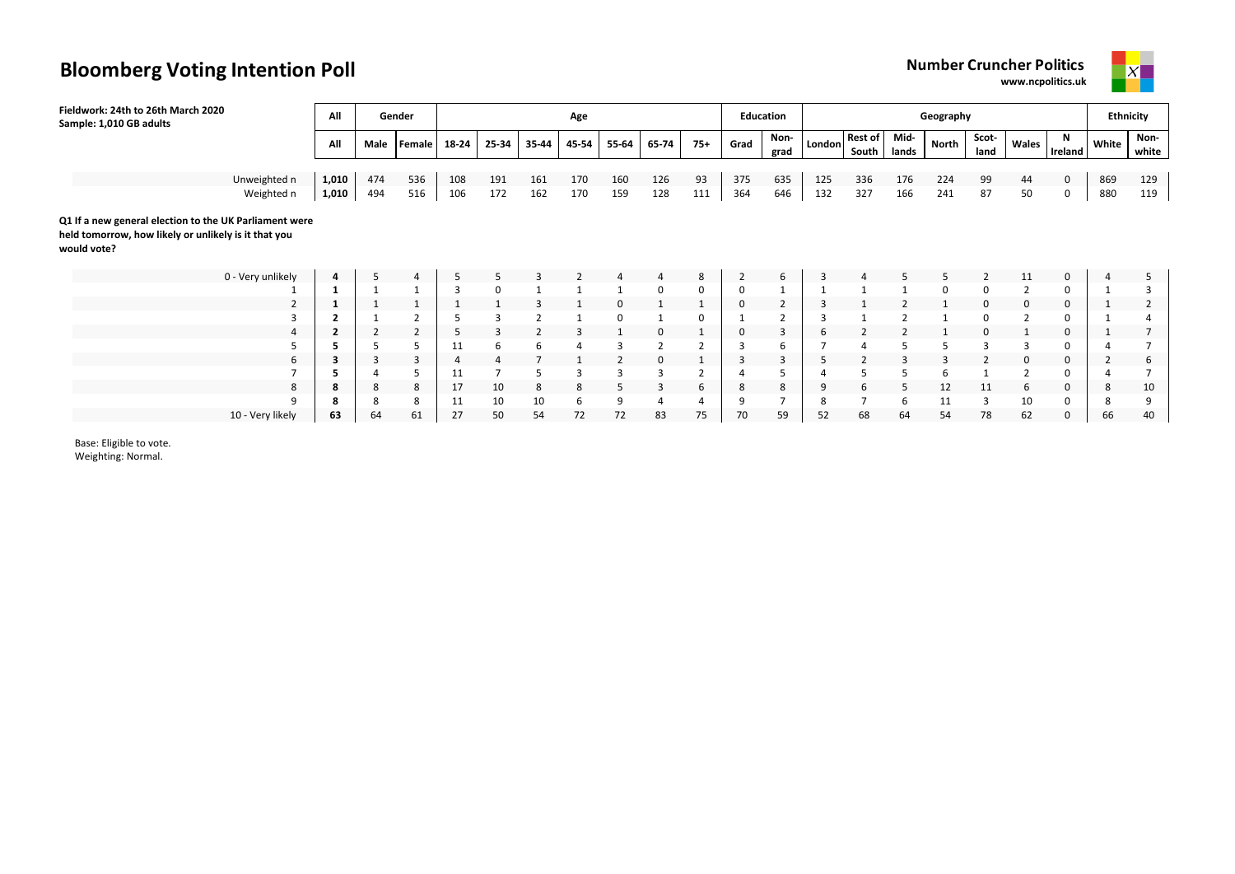**www.ncpolitics.uk**



| Fieldwork: 24th to 26th March 2020<br>Sample: 1,010 GB adults                                                                 | All   |                | Gender |                |       |                | Age   |                |                |                |             | Education    |        |                         |               | Geography |                |          |              |                | <b>Ethnicity</b> |
|-------------------------------------------------------------------------------------------------------------------------------|-------|----------------|--------|----------------|-------|----------------|-------|----------------|----------------|----------------|-------------|--------------|--------|-------------------------|---------------|-----------|----------------|----------|--------------|----------------|------------------|
|                                                                                                                               | All   | Male           | Female | 18-24          | 25-34 | 35-44          | 45-54 | 55-64          | 65-74          | $75+$          | Grad        | Non-<br>grad | London | <b>Rest of</b><br>South | Mid-<br>lands | North     | Scot-<br>land  | Wales    | N<br>Ireland | White          | Non-<br>white    |
|                                                                                                                               |       |                |        |                |       |                |       |                |                |                |             |              |        |                         |               |           |                |          |              |                |                  |
| Unweighted n                                                                                                                  | 1,010 | 474            | 536    | 108            | 191   | 161            | 170   | 160            | 126            | 93             | 375         | 635          | 125    | 336                     | 176           | 224       | 99             | 44       | $\mathbf 0$  | 869            | 129              |
| Weighted n                                                                                                                    | 1,010 | 494            | 516    | 106            | 172   | 162            | 170   | 159            | 128            | 111            | 364         | 646          | 132    | 327                     | 166           | 241       | 87             | 50       | 0            | 880            | 119              |
| Q1 If a new general election to the UK Parliament were<br>held tomorrow, how likely or unlikely is it that you<br>would vote? |       |                |        |                |       |                |       |                |                |                |             |              |        |                         |               |           |                |          |              |                |                  |
| 0 - Very unlikely                                                                                                             | 4     | 5              | 4      | 5              |       | З              |       |                | $\overline{4}$ | 8              | 2           | 6            | 3      |                         |               | 5         | 2              | 11       | $\mathbf{0}$ |                | 5                |
|                                                                                                                               |       |                |        | $\overline{3}$ | 0     |                |       |                | 0              | 0              | 0           |              |        |                         |               | 0         | $\Omega$       |          | 0            |                | 3                |
| 2                                                                                                                             |       |                |        |                |       |                |       |                |                |                | 0           |              |        |                         |               |           |                | $\Omega$ | 0            |                |                  |
|                                                                                                                               |       |                | 2      |                | 3     | $\overline{2}$ |       |                |                | 0              |             |              |        |                         |               |           |                |          | 0            |                |                  |
| 4                                                                                                                             |       | $\overline{2}$ | 2      | 5              | 3     | $\overline{2}$ | 3     |                | $\mathbf 0$    |                | $\mathbf 0$ | 3            | 6      | 2                       |               |           | $\Omega$       |          | $\mathbf 0$  |                |                  |
|                                                                                                                               |       |                | 5      | 11             | 6     | 6              |       | 3              | $\overline{2}$ |                | 3           | 6            |        |                         |               |           | 3              |          | $\Omega$     |                |                  |
| 6                                                                                                                             |       | 3              | 3      | 4              | 4     |                |       | $\overline{2}$ | $\mathbf 0$    |                | 3           | 3            |        | 2                       | 3             | 3         | $\overline{2}$ | 0        | 0            | $\overline{2}$ | 6                |
|                                                                                                                               |       |                | 5      | 11             |       | 5              | 3     | 3              | 3              | $\overline{2}$ |             |              |        |                         |               | 6         |                |          | 0            |                |                  |
| 8                                                                                                                             | 8     | 8              | 8      | 17             | 10    | 8              | 8     | 5              | 3              | 6              | 8           | 8            | 9      | 6                       | 5             | 12        | 11             | 6        | 0            | 8              | 10               |
| q                                                                                                                             | ×     | 8              | 8      | 11             | 10    | 10             | 6     | 9              | 4              | 4              | 9           |              | 8      |                         | 6             | 11        | 3              | 10       | 0            | 8              | 9                |
| 10 - Very likely                                                                                                              | 63    | 64             | 61     | 27             | 50    | 54             | 72    | 72             | 83             | 75             | 70          | 59           | 52     | 68                      | 64            | 54        | 78             | 62       | $\mathbf 0$  | 66             | 40               |

Base: Eligible to vote.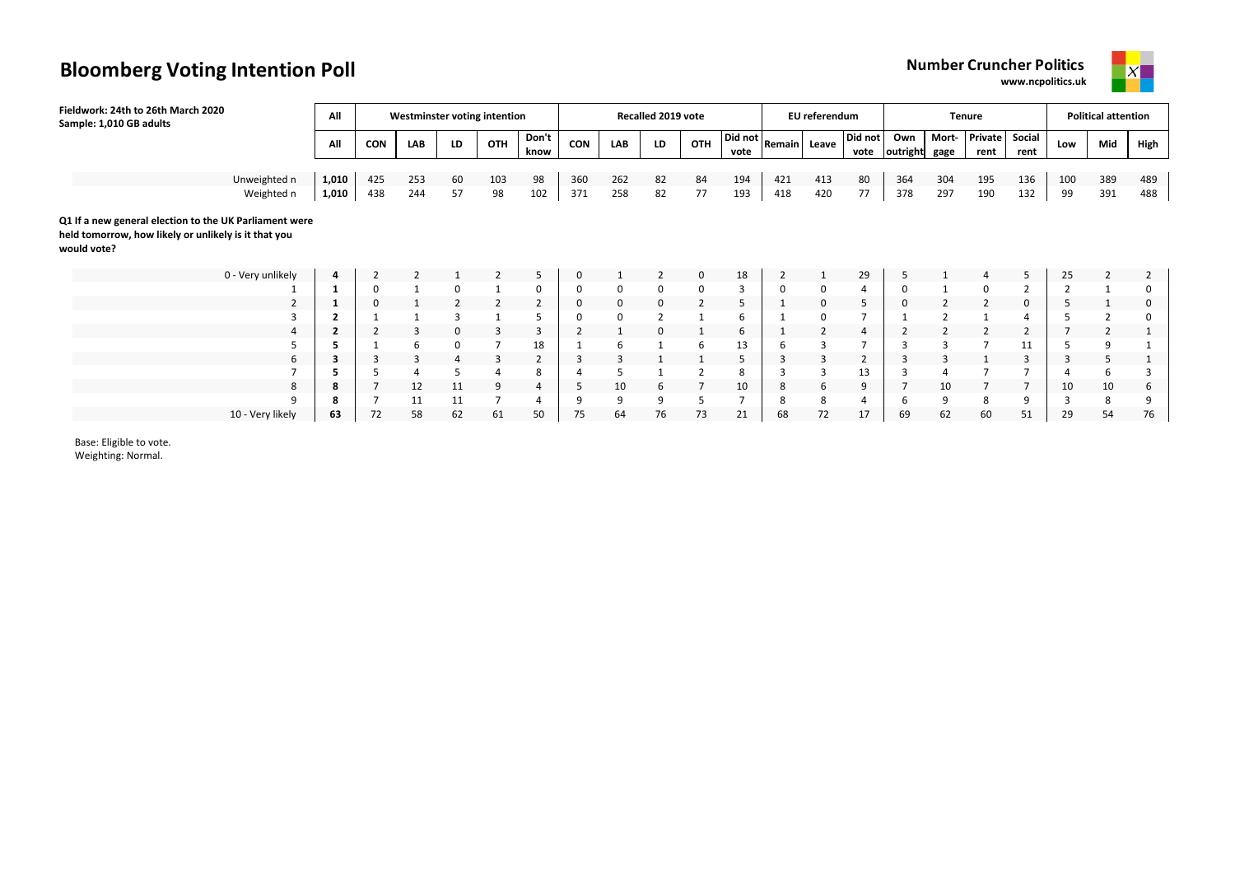**www.ncpolitics.uk**



| Sample: 1,010 GB adults                                                                                                                                                                                                                                                                       |                          |
|-----------------------------------------------------------------------------------------------------------------------------------------------------------------------------------------------------------------------------------------------------------------------------------------------|--------------------------|
| Did not<br>Private<br>$\sqrt{\frac{Did \text{ not}}{R$ emain   Leave<br>Mort-<br>Social<br>Don't<br>Own<br>OTH<br><b>CON</b><br>LAB<br>OTH<br><b>CON</b><br>All<br>LAB<br>LD<br>LD<br>Low<br>outright<br>know<br>rent<br>vote<br>gage<br>rent<br>vote                                         | High<br>Mid              |
|                                                                                                                                                                                                                                                                                               |                          |
| Unweighted n<br>1,010<br>425<br>194<br>80<br>253<br>98<br>360<br>195<br>136<br>60<br>103<br>262<br>82<br>84<br>421<br>413<br>364<br>304<br>100<br>438<br>57<br>77<br>193<br>297<br>132<br>Weighted n<br>1,010<br>98<br>102<br>371<br>258<br>418<br>420<br>77<br>378<br>190<br>244<br>82<br>99 | 389<br>489<br>488<br>391 |
|                                                                                                                                                                                                                                                                                               |                          |
| Q1 If a new general election to the UK Parliament were<br>held tomorrow, how likely or unlikely is it that you<br>would vote?                                                                                                                                                                 |                          |
| 0 - Very unlikely<br>18<br>29<br>5<br>25<br>5<br>$\overline{2}$<br>0<br>$\overline{2}$<br>0<br>2<br>4<br>5<br>$\overline{4}$                                                                                                                                                                  | $\overline{2}$           |
| 3<br>0<br>0<br>0<br>0<br>0<br>0<br>-1<br>0<br>0<br>0<br>0<br>4<br>0                                                                                                                                                                                                                           |                          |
| $\mathbf 0$<br>$\overline{2}$<br>5<br>5<br>$\overline{2}$<br>0<br>0<br>0<br>0<br>0<br>0                                                                                                                                                                                                       |                          |
| $\overline{2}$<br>0<br>$\overline{2}$<br>3<br>5<br>0<br>6<br>0                                                                                                                                                                                                                                |                          |
| $\overline{2}$<br>$\overline{2}$<br>3<br>3<br>3<br>$\overline{2}$<br>6<br>$\overline{2}$<br>2<br>$\overline{2}$<br>$\overline{2}$<br>$\overline{\mathbf{2}}$<br>0<br>0<br>4                                                                                                                   | 2                        |
| 18<br>13<br>11<br>6<br>6<br>0<br>6                                                                                                                                                                                                                                                            |                          |
| 6<br>3<br>3<br>$\overline{2}$<br>3<br>5<br>$\overline{2}$<br>3<br>3                                                                                                                                                                                                                           |                          |
| 13<br>8<br>8<br>5                                                                                                                                                                                                                                                                             | 3                        |
| 12<br>10<br>10<br>10<br>10<br>11<br>9<br>9<br>8<br>5<br>6<br>6<br>8<br>4<br>ō<br>$\overline{ }$<br>q                                                                                                                                                                                          | 10<br>6                  |
| 11<br>8<br>9<br>9<br>8<br>9<br>11<br>9<br>9<br>я<br>4<br>5<br>8<br>3<br>4<br>b<br>72<br>10 - Very likely<br>63<br>50<br>73<br>21<br>62<br>60<br>51<br>29<br>72<br>58<br>62<br>61<br>75<br>64<br>76<br>17<br>69<br>68                                                                          | 9<br>8<br>76<br>54       |

Base: Eligible to vote.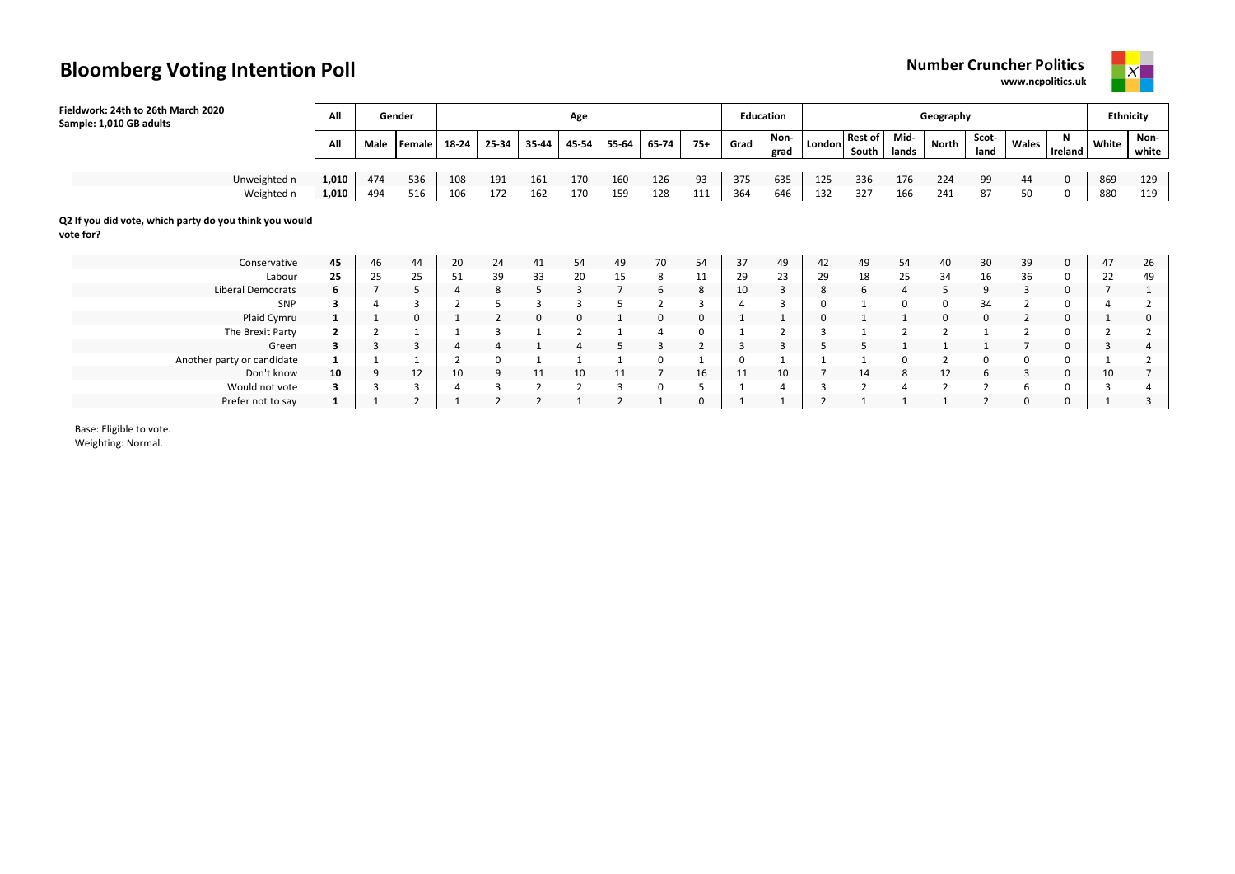**www.ncpolitics.uk**



| Fieldwork: 24th to 26th March 2020<br>Sample: 1,010 GB adults       | All            |      | Gender         |       |                |                | Age            |              |                |       |             | Education    |          |                         |               | Geography      |                |             |              | <b>Ethnicity</b> |                |
|---------------------------------------------------------------------|----------------|------|----------------|-------|----------------|----------------|----------------|--------------|----------------|-------|-------------|--------------|----------|-------------------------|---------------|----------------|----------------|-------------|--------------|------------------|----------------|
|                                                                     | All            | Male | Female         | 18-24 | 25-34          | 35-44          | 45-54          | 55-64        | 65-74          | $75+$ | Grad        | Non-<br>grad | London   | <b>Rest of</b><br>South | Mid-<br>lands | <b>North</b>   | Scot-<br>land  | Wales       | N<br>Ireland | White            | Non-<br>white  |
|                                                                     |                |      |                |       |                |                |                |              |                |       |             |              |          |                         |               |                |                |             |              |                  |                |
| Unweighted n                                                        | 1,010          | 474  | 536            | 108   | 191            | 161            | 170            | 160          | 126            | 93    | 375         | 635          | 125      | 336                     | 176           | 224            | 99             | 44          | $\mathbf 0$  | 869              | 129            |
| Weighted n                                                          | 1,010          | 494  | 516            | 106   | 172            | 162            | 170            | 159          | 128            | 111   | 364         | 646          | 132      | 327                     | 166           | 241            | 87             | 50          | 0            | 880              | 119            |
| Q2 If you did vote, which party do you think you would<br>vote for? |                |      |                |       |                |                |                |              |                |       |             |              |          |                         |               |                |                |             |              |                  |                |
| Conservative                                                        | 45             | 46   | 44             | 20    | 24             | 41             | 54             | 49           | 70             | 54    | 37          | 49           | 42       | 49                      | 54            | 40             | 30             | 39          | $\mathbf 0$  | 47               | 26             |
| Labour                                                              | 25             | 25   | 25             | 51    | 39             | 33             | 20             | 15           | 8              | 11    | 29          | 23           | 29       | 18                      | 25            | 34             | 16             | 36          | 0            | 22               | 49             |
| <b>Liberal Democrats</b>                                            | 6              | 7    | 5              |       | 8              | 5              | 3              |              | 6              | 8     | 10          | 3            | 8        | 6                       |               | 5              | 9              | 3           | $\mathbf 0$  |                  |                |
| SNP                                                                 | 3              |      | $\overline{3}$ |       | 5              | 3              | 3              | 5            | $\overline{2}$ | 3     |             |              |          |                         | 0             | 0              | 34             |             | 0            |                  |                |
| Plaid Cymru                                                         |                |      | 0              |       | $\overline{2}$ | 0              | $\Omega$       |              | 0              | 0     |             |              | $\Omega$ |                         |               | $\mathbf{0}$   | $\mathbf 0$    |             | $\mathbf 0$  |                  | 0              |
| The Brexit Party                                                    | $\overline{2}$ |      |                |       | 3              |                | $\overline{2}$ |              |                | 0     |             |              |          |                         |               |                |                |             | $\Omega$     |                  |                |
| Green                                                               | 3              | 3    | 3              |       | $\overline{4}$ |                |                | 5            | 3              | 2     | 3           | 3            | -5       | 5                       |               |                |                |             | 0            |                  |                |
| Another party or candidate                                          |                |      |                |       | 0              |                |                |              | 0              |       | $\mathbf 0$ |              |          |                         | 0             |                | 0              | 0           | 0            |                  |                |
| Don't know                                                          | 10             | 9    | 12             | 10    | 9              | 11             | 10             | 11           |                | 16    | 11          | 10           |          | 14                      | 8             | 12             | 6              | 3           | 0            | 10               | $\overline{7}$ |
| Would not vote                                                      |                | 3    | 3              |       | 3              | $\overline{2}$ | $\overline{2}$ | 3            | 0              | 5     |             |              |          | $\overline{2}$          |               | $\overline{2}$ | $\overline{2}$ | 6           | 0            |                  |                |
| Prefer not to say                                                   |                |      | $\overline{2}$ |       | ຳ              | $\overline{2}$ |                | $\mathbf{D}$ |                | 0     |             |              |          |                         |               |                | $\overline{2}$ | $\mathbf 0$ | 0            |                  | 3              |

Base: Eligible to vote.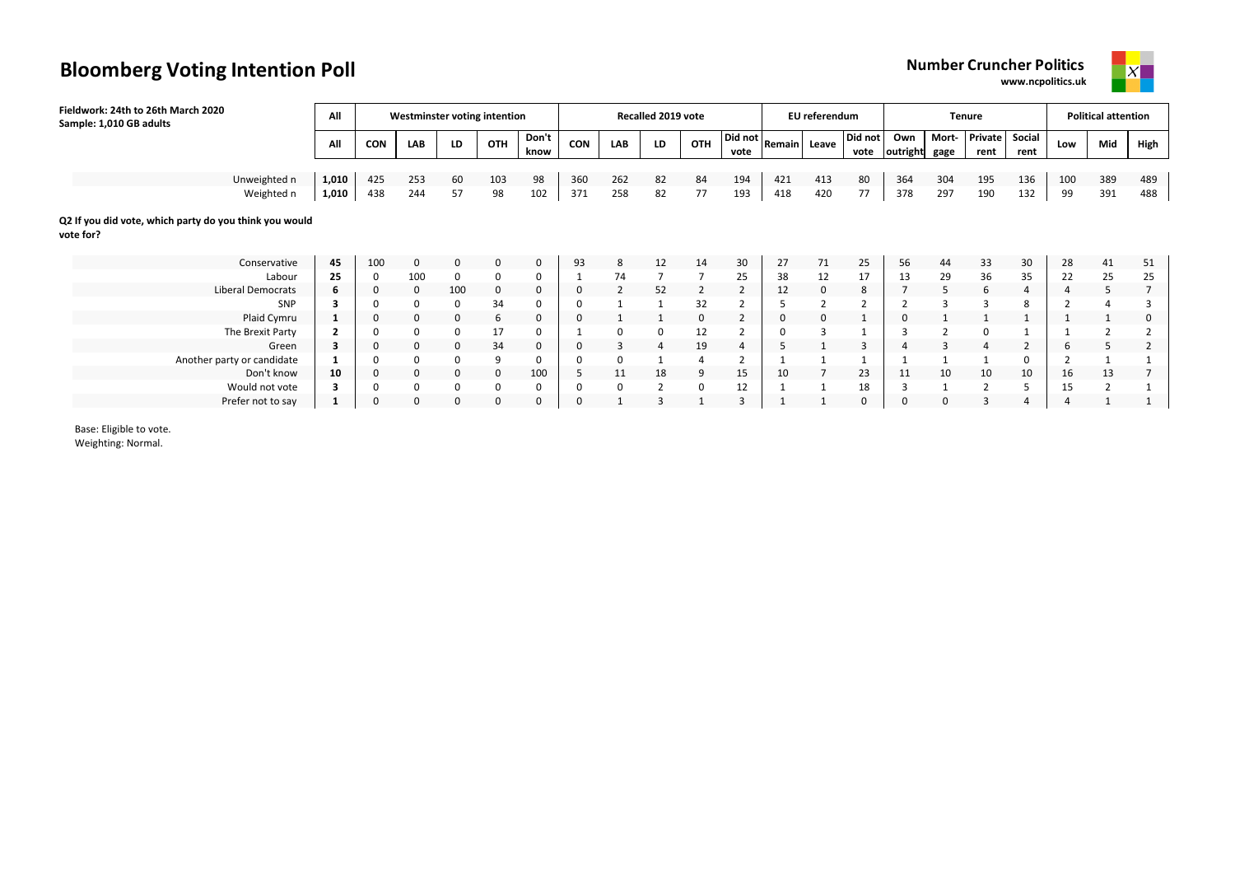

**www.ncpolitics.uk**

| Fieldwork: 24th to 26th March 2020<br>Sample: 1,010 GB adults       | All   |             | Westminster voting intention |     |              |               |            |                | Recalled 2019 vote |     |                                                             |     | EU referendum |                 |                 |               | <b>Tenure</b>   |                |                | <b>Political attention</b> |                |
|---------------------------------------------------------------------|-------|-------------|------------------------------|-----|--------------|---------------|------------|----------------|--------------------|-----|-------------------------------------------------------------|-----|---------------|-----------------|-----------------|---------------|-----------------|----------------|----------------|----------------------------|----------------|
|                                                                     | All   | <b>CON</b>  | LAB                          | LD  | OTH          | Don't<br>know | <b>CON</b> | LAB            | LD                 | OTH | $\sqrt{\frac{Did not}{Remain}}$ Leave $\frac{1}{2}$<br>vote |     |               | Did not<br>vote | Own<br>outright | Mort-<br>gage | Private<br>rent | Social<br>rent | Low            | Mid                        | High           |
|                                                                     |       |             |                              |     |              |               |            |                |                    |     |                                                             |     |               |                 |                 |               |                 |                |                |                            |                |
| Unweighted n                                                        | 1,010 | 425         | 253                          | 60  | 103          | 98            | 360        | 262            | 82                 | 84  | 194                                                         | 421 | 413           | 80              | 364             | 304           | 195             | 136            | 100            | 389                        | 489            |
| Weighted n                                                          | 1,010 | 438         | 244                          | 57  | 98           | 102           | 371        | 258            | 82                 | 77  | 193                                                         | 418 | 420           | 77              | 378             | 297           | 190             | 132            | 99             | 391                        | 488            |
| Q2 If you did vote, which party do you think you would<br>vote for? |       |             |                              |     |              |               |            |                |                    |     |                                                             |     |               |                 |                 |               |                 |                |                |                            |                |
| Conservative                                                        | 45    | 100         | 0                            | 0   | $\mathbf{0}$ | 0             | 93         | 8              | 12                 | 14  | 30                                                          | 27  | 71            | 25              | 56              | 44            | 33              | 30             | 28             | 41                         | 51             |
| Labour                                                              | 25    | 0           | 100                          | 0   | 0            | 0             |            | 74             |                    |     | 25                                                          | 38  | 12            | 17              | 13              | 29            | 36              | 35             | 22             | 25                         | 25             |
| Liberal Democrats                                                   | 6     | 0           | 0                            | 100 | 0            | 0             | 0          | $\overline{2}$ | 52                 | 2   | $\overline{2}$                                              | 12  | 0             | 8               |                 | 5             | 6               | 4              | $\overline{4}$ |                            | $\overline{7}$ |
| SNP                                                                 |       | $\Omega$    | $\Omega$                     | 0   | 34           | 0             |            |                |                    | 32  | $\overline{2}$                                              |     |               |                 |                 |               |                 |                |                |                            |                |
| Plaid Cymru                                                         |       | $\mathbf 0$ | 0                            | 0   | 6            | 0             | 0          |                |                    |     | $\overline{2}$                                              | 0   | 0             |                 | 0               |               |                 |                |                |                            |                |
| The Brexit Party                                                    |       | $\Omega$    | 0                            | 0   | 17           | 0             |            | 0              | 0                  | 12  | $\overline{2}$                                              | 0   | $\mathbf{3}$  |                 |                 |               | 0               |                |                |                            |                |
| Green                                                               | 3     | 0           | 0                            | 0   | 34           | 0             | 0          | 3              |                    | 19  |                                                             |     |               | 3               |                 |               |                 |                | 6              |                            |                |
| Another party or candidate                                          |       | $\Omega$    | 0                            | 0   | 9            | 0             | 0          | 0              |                    |     | 2                                                           |     |               |                 |                 |               |                 | 0              |                |                            |                |
| Don't know                                                          | 10    | $\mathbf 0$ | $\mathbf 0$                  | 0   | $\mathbf 0$  | 100           | 5          | 11             | 18                 | 9   | 15                                                          | 10  |               | 23              | 11              | 10            | 10              | 10             | 16             | 13                         |                |
| Would not vote                                                      |       | 0           | 0                            | 0   | 0            | 0             | 0          | 0              | 2                  | 0   | 12                                                          |     |               | 18              | 3               |               | 2               |                | 15             |                            |                |
| Prefer not to say                                                   |       | 0           | 0                            | 0   | 0            | 0             |            |                |                    |     | 3                                                           |     |               | 0               |                 |               |                 |                |                |                            |                |

Base: Eligible to vote.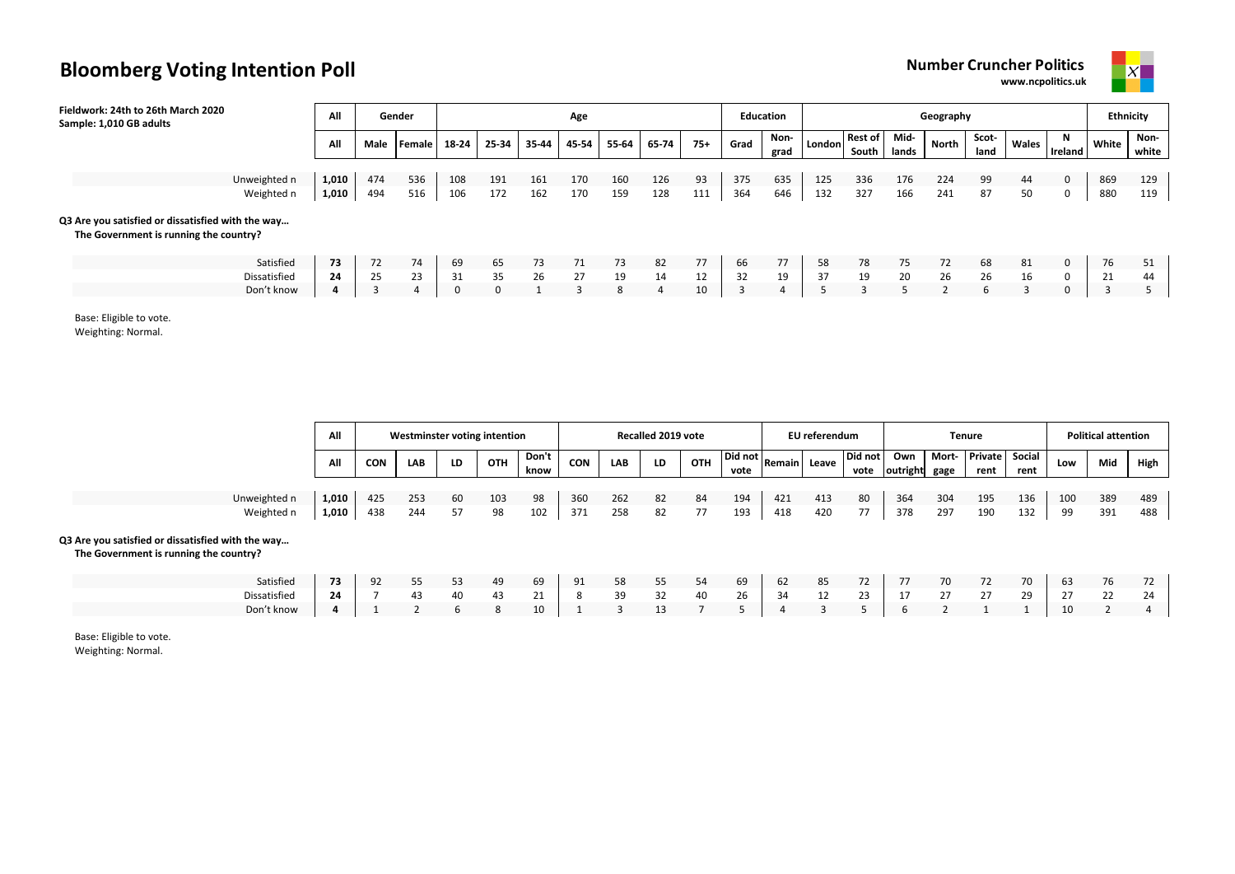**www.ncpolitics.uk**



| Fieldwork: 24th to 26th March 2020<br>Sample: 1,010 GB adults                               | All   |      | Gender |       |       |       | Age   |       |       |       |      | Education    |        |                         |               | Geography |               |       |                     |       | <b>Ethnicity</b> |
|---------------------------------------------------------------------------------------------|-------|------|--------|-------|-------|-------|-------|-------|-------|-------|------|--------------|--------|-------------------------|---------------|-----------|---------------|-------|---------------------|-------|------------------|
|                                                                                             | All   | Male | Female | 18-24 | 25-34 | 35-44 | 45-54 | 55-64 | 65-74 | $75+$ | Grad | Non-<br>grad | London | <b>Rest of</b><br>South | Mid-<br>lands | North     | Scot-<br>land | Wales | N<br><b>Ireland</b> | White | Non-<br>white    |
|                                                                                             |       |      |        |       |       |       |       |       |       |       |      |              |        |                         |               |           |               |       |                     |       |                  |
| Unweighted n                                                                                | 1,010 | 474  | 536    | 108   | 191   | 161   | 170   | 160   | 126   | 93    | 375  | 635          | 125    | 336                     | 176           | 224       | 99            | 44    | 0                   | 869   | 129              |
| Weighted n                                                                                  | 1,010 | 494  | 516    | 106   | 172   | 162   | 170   | 159   | 128   | 111   | 364  | 646          | 132    | 327                     | 166           | 241       | 87            | 50    | 0                   | 880   | 119              |
| Q3 Are you satisfied or dissatisfied with the way<br>The Government is running the country? |       |      |        |       |       |       |       |       |       |       |      |              |        |                         |               |           |               |       |                     |       |                  |
| Satisfied                                                                                   | 73    | 72   | 74     | 69    | 65    | 73    | 71    | 73    | 82    | 77    | 66   | 77           | 58     | 78                      | 75            | 72        | 68            | 81    | 0                   | 76    | 51               |
| Dissatisfied                                                                                | 24    | 25   | 23     | 31    | 35    | 26    | 27    | 19    | 14    | 12    | 32   | 19           | 37     | 19                      | 20            | 26        | 26            | 16    | $\mathbf 0$         | 21    | 44               |
| Don't know                                                                                  |       |      |        | 0     | 0     |       | 3     | 8     | 4     | 10    | 3    |              |        |                         |               |           | 6             | 3     | 0                   |       |                  |

Base: Eligible to vote.

Weighting: Normal.

|                                                                                             | All   |            | <b>Westminster voting intention</b> |    |     |               |            |     | <b>Recalled 2019 vote</b> |     |      |                                               | EU referendum |                 |                 |                | <b>Tenure</b>          |      |     | <b>Political attention</b> |      |
|---------------------------------------------------------------------------------------------|-------|------------|-------------------------------------|----|-----|---------------|------------|-----|---------------------------|-----|------|-----------------------------------------------|---------------|-----------------|-----------------|----------------|------------------------|------|-----|----------------------------|------|
|                                                                                             | All   | <b>CON</b> | <b>LAB</b>                          | LD | OTH | Don't<br>know | <b>CON</b> | LAB | LD                        | OTH | vote | $\overline{u}$   Did not   Remain   Leave   - |               | Did not<br>vote | Own<br>outright | Mort-<br>gage  | Private Social<br>rent | rent | Low | Mid                        | High |
|                                                                                             |       |            |                                     |    |     |               |            |     |                           |     |      |                                               |               |                 |                 |                |                        |      |     |                            |      |
| Unweighted n                                                                                | 1,010 | 425        | 253                                 | 60 | 103 | 98            | 360        | 262 | 82                        | 84  | 194  | 421                                           | 413           | 80              | 364             | 304            | 195                    | 136  | 100 | 389                        | 489  |
| Weighted n                                                                                  | 1,010 | 438        | 244                                 | 57 | 98  | 102           | 371        | 258 | 82                        | 77  | 193  | 418                                           | 420           | 77              | 378             | 297            | 190                    | 132  | 99  | 391                        | 488  |
| Q3 Are you satisfied or dissatisfied with the way<br>The Government is running the country? |       |            |                                     |    |     |               |            |     |                           |     |      |                                               |               |                 |                 |                |                        |      |     |                            |      |
| Satisfied                                                                                   | 73    | 92         | 55                                  | 53 | 49  | 69            | 91         | 58  | 55                        | 54  | 69   | 62                                            | 85            | 72              | 77              | 70             | 72                     | 70   | 63  | 76                         | 72   |
| Dissatisfied                                                                                | 24    |            | 43                                  | 40 | 43  | 21            | 8          | 39  | 32                        | 40  | 26   | 34                                            | 12            | 23              | 17              | 27             | 27                     | 29   | 27  | 22                         | 24   |
| Don't know                                                                                  |       |            | $\mathbf{\overline{a}}$             | 6  | 8   | 10            |            | २   | 13                        |     |      |                                               | $\mathbf{a}$  |                 | b               | $\overline{2}$ |                        |      | 10  | $\sim$                     |      |

Base: Eligible to vote.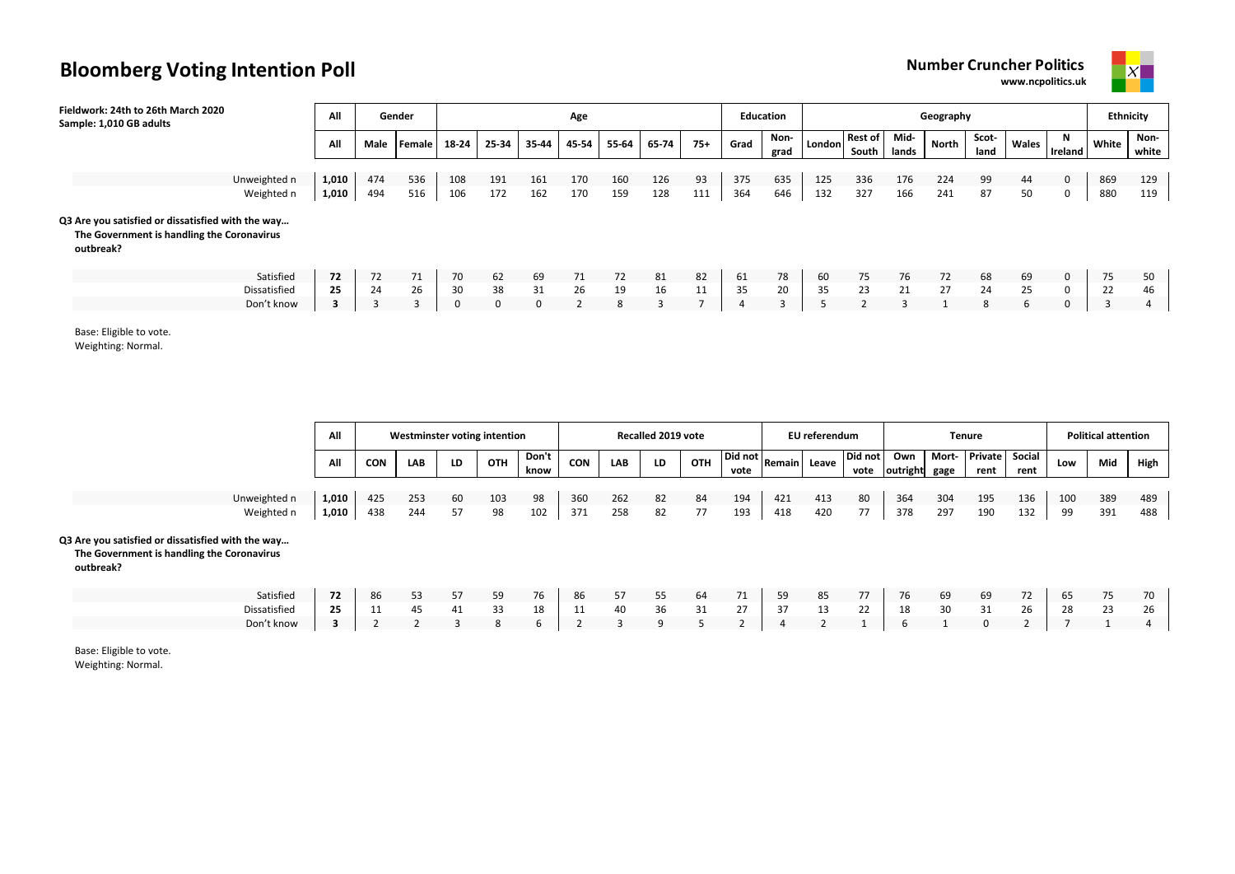**www.ncpolitics.uk**



| Fieldwork: 24th to 26th March 2020<br>Sample: 1,010 GB adults                                                | All            |            | Gender     |            |                |                | Age        |            |            |           | <b>Education</b> |              |            |                         |               | Geography  |               |          |                     |            | Ethnicity     |
|--------------------------------------------------------------------------------------------------------------|----------------|------------|------------|------------|----------------|----------------|------------|------------|------------|-----------|------------------|--------------|------------|-------------------------|---------------|------------|---------------|----------|---------------------|------------|---------------|
|                                                                                                              | All            | Male       | Female     | 18-24      | 25-34          | 35-44          | 45-54      | 55-64      | 65-74      | $75+$     | Grad             | Non-<br>grad | London     | <b>Rest of</b><br>South | Mid-<br>lands | North      | Scot-<br>land | Wales    | N<br><b>Ireland</b> | White      | Non-<br>white |
| Unweighted n<br>Weighted n                                                                                   | 1,010<br>1,010 | 474<br>494 | 536<br>516 | 108<br>106 | 191<br>172     | 161<br>162     | 170<br>170 | 160<br>159 | 126<br>128 | 93<br>111 | 375<br>364       | 635<br>646   | 125<br>132 | 336<br>327              | 176<br>166    | 224<br>241 | 99<br>87      | 44<br>50 | $\mathbf 0$<br>0    | 869<br>880 | 129<br>119    |
| Q3 Are you satisfied or dissatisfied with the way<br>The Government is handling the Coronavirus<br>outbreak? |                |            |            |            |                |                |            |            |            |           |                  |              |            |                         |               |            |               |          |                     |            |               |
| Satisfied                                                                                                    | 72             | 72         | 71         | 70         | 62             | 69             | 71         | 72         | 81         | 82        | 61               | 78           | 60         | 75                      | 76            | 72         | 68            | 69       | $\Omega$            | 75         | 50            |
| Dissatisfied<br>Don't know                                                                                   | 25<br>3        | 24         | 26         | 30         | 38<br>$\Omega$ | 31<br>$\Omega$ | 26         | 19<br>8    | 16         | 11        | 35               | 20           | 35         | 23                      | 21            | 27         | 24<br>8       | 25<br>b  | $\Omega$<br>0       | 22         | 46            |

Base: Eligible to vote.

Weighting: Normal.

|                                                                                                              | All   |            | Westminster voting intention |    |            |               |            |            | Recalled 2019 vote |            |      |                                             | EU referendum |                 |                 |               | Tenure                 |      |     | <b>Political attention</b> |      |
|--------------------------------------------------------------------------------------------------------------|-------|------------|------------------------------|----|------------|---------------|------------|------------|--------------------|------------|------|---------------------------------------------|---------------|-----------------|-----------------|---------------|------------------------|------|-----|----------------------------|------|
|                                                                                                              | All   | <b>CON</b> | <b>LAB</b>                   | LD | <b>OTH</b> | Don't<br>know | <b>CON</b> | <b>LAB</b> | LD                 | <b>OTH</b> | vote | $\mathbf{u}$   Did not   Remain   Leave   - |               | Did not<br>vote | Own<br>outright | Mort-<br>gage | Private Social<br>rent | rent | Low | Mid                        | High |
|                                                                                                              |       |            |                              |    |            |               |            |            |                    |            |      |                                             |               |                 |                 |               |                        |      |     |                            |      |
| Unweighted n                                                                                                 | 1,010 | 425        | 253                          | 60 | 103        | 98            | 360        | 262        | 82                 | 84         | 194  | 421                                         | 413           | 80              | 364             | 304           | 195                    | 136  | 100 | 389                        | 489  |
| Weighted n                                                                                                   | 1,010 | 438        | 244                          | 57 | 98         | 102           | 371        | 258        | 82                 | 77         | 193  | 418                                         | 420           | 77              | 378             | 297           | 190                    | 132  | 99  | 391                        | 488  |
| Q3 Are you satisfied or dissatisfied with the way<br>The Government is handling the Coronavirus<br>outbreak? |       |            |                              |    |            |               |            |            |                    |            |      |                                             |               |                 |                 |               |                        |      |     |                            |      |
| Satisfied                                                                                                    | 72    | 86         | 53                           | 57 | 59         | 76            | 86         | 57         | 55                 | 64         | 71   | 59                                          | 85            | 77              | 76              | 69            | 69                     | 72   | 65  | 75                         | 70   |
| Dissatisfied                                                                                                 | 25    | 11         | 45                           | 41 | 33         | 18            | 11         | 40         | 36                 | 31         | 27   | 37                                          | 13            | 22              | 18              | 30            | 31                     | 26   | 28  | 23                         | 26   |
| Don't know                                                                                                   |       |            |                              | २  | 8          | 6             |            | 3          | 9                  |            |      |                                             |               |                 | b               |               | 0                      |      |     |                            |      |

Base: Eligible to vote. Weighting: Normal.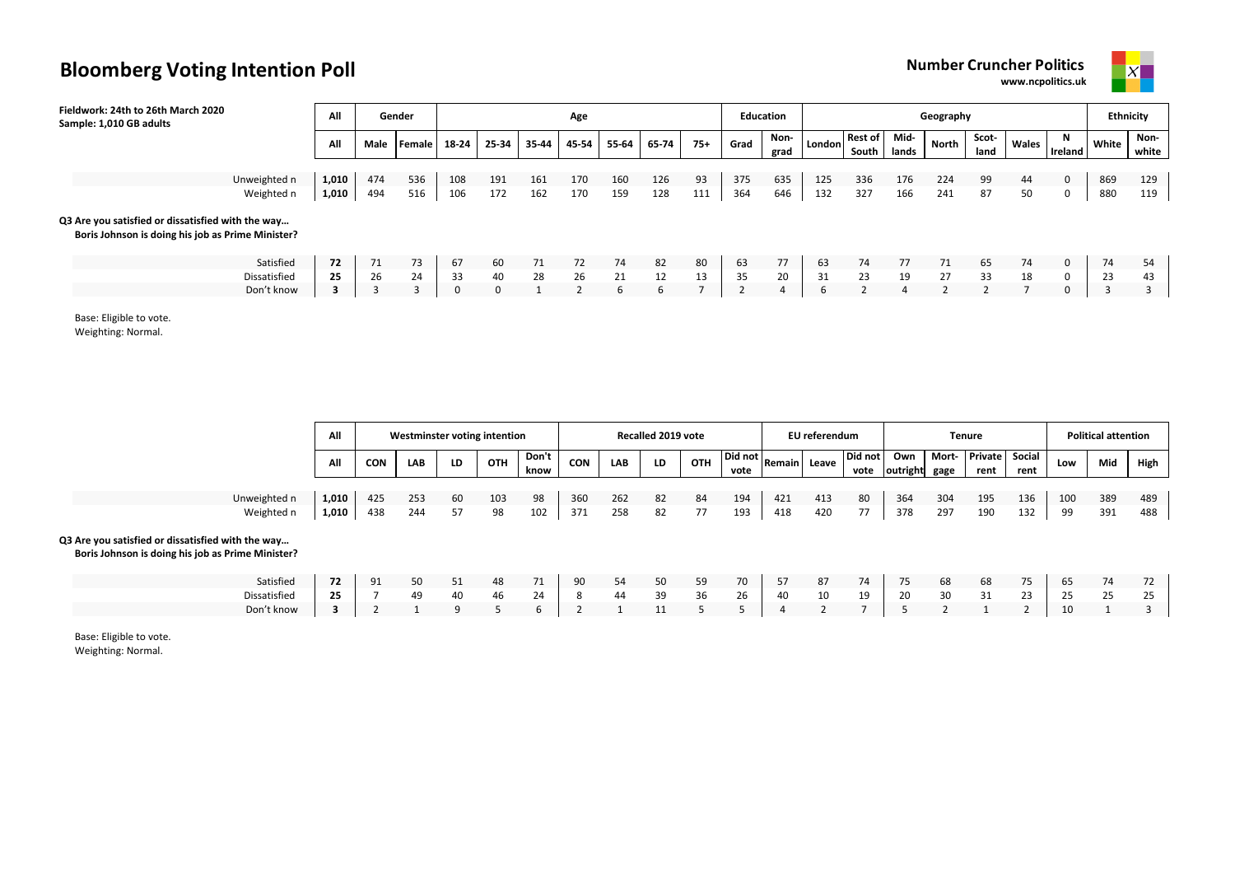**www.ncpolitics.uk**



| Fieldwork: 24th to 26th March 2020<br>Sample: 1,010 GB adults                                          | All   |      | Gender |       |       |       | Age   |       |       |       |      | <b>Education</b> |        |                  |               | Geography |               |       |              |       | <b>Ethnicity</b> |
|--------------------------------------------------------------------------------------------------------|-------|------|--------|-------|-------|-------|-------|-------|-------|-------|------|------------------|--------|------------------|---------------|-----------|---------------|-------|--------------|-------|------------------|
|                                                                                                        | All   | Male | Female | 18-24 | 25-34 | 35-44 | 45-54 | 55-64 | 65-74 | $75+$ | Grad | Non-<br>grad     | London | Rest of<br>South | Mid-<br>lands | North     | Scot-<br>land | Wales | N<br>Ireland | White | Non-<br>white    |
|                                                                                                        |       |      |        |       |       |       |       |       |       |       |      |                  |        |                  |               |           |               |       |              |       |                  |
| Unweighted n                                                                                           | 1,010 | 474  | 536    | 108   | 191   | 161   | 170   | 160   | 126   | 93    | 375  | 635              | 125    | 336              | 176           | 224       | 99            | 44    | 0            | 869   | 129              |
| Weighted n                                                                                             | 1,010 | 494  | 516    | 106   | 172   | 162   | 170   | 159   | 128   | 111   | 364  | 646              | 132    | 327              | 166           | 241       | 87            | 50    | 0            | 880   | 119              |
| Q3 Are you satisfied or dissatisfied with the way<br>Boris Johnson is doing his job as Prime Minister? |       |      |        |       |       |       |       |       |       |       |      |                  |        |                  |               |           |               |       |              |       |                  |
| Satisfied                                                                                              | 72    | 71   | 73     | 67    | 60    | 71    | 72    | 74    | 82    | 80    | 63   | 77               | 63     | 74               | 77            | 71        | 65            | 74    | 0            | 74    | 54               |
| Dissatisfied                                                                                           | 25    | 26   | 24     | 33    | 40    | 28    | 26    | 21    | 12    | 13    | 35   | 20               | 31     | 23               | 19            | 27        | 33            | 18    | 0            | 23    | 43               |
| Don't know                                                                                             |       |      |        | 0     | 0     |       |       | 6     | 6     |       |      |                  |        |                  |               |           |               |       | 0            |       |                  |

Base: Eligible to vote.

Weighting: Normal.

|                                                                                                        | All   |            | <b>Westminster voting intention</b> |    |            |               |            | <b>Recalled 2019 vote</b> |    |     | EU referendum |                                                          |     |                 |                      | Tenure | <b>Political attention</b> |                |     |     |      |
|--------------------------------------------------------------------------------------------------------|-------|------------|-------------------------------------|----|------------|---------------|------------|---------------------------|----|-----|---------------|----------------------------------------------------------|-----|-----------------|----------------------|--------|----------------------------|----------------|-----|-----|------|
|                                                                                                        | All   | <b>CON</b> | <b>LAB</b>                          | LD | <b>OTH</b> | Don't<br>know | <b>CON</b> | LAB                       | LD | OTH | vote          | . <sub>⊔</sub>   Did not  Remain   Leave 1 <sup>-1</sup> |     | Did not<br>vote | Own<br>outright gage |        | Mort- Private<br>rent      | Social<br>rent | Low | Mid | High |
|                                                                                                        |       |            |                                     |    |            |               |            |                           |    |     |               |                                                          |     |                 |                      |        |                            |                |     |     |      |
| Unweighted n                                                                                           | 1,010 | 425        | 253                                 | 60 | 103        | 98            | 360        | 262                       | 82 | 84  | 194           | 421                                                      | 413 | 80              | 364                  | 304    | 195                        | 136            | 100 | 389 | 489  |
| Weighted n                                                                                             | 1,010 | 438        | 244                                 | 57 | 98         | 102           | 371        | 258                       | 82 | 77  | 193           | 418                                                      | 420 | 77              | 378                  | 297    | 190                        | 132            | 99  | 391 | 488  |
| Q3 Are you satisfied or dissatisfied with the way<br>Boris Johnson is doing his job as Prime Minister? |       |            |                                     |    |            |               |            |                           |    |     |               |                                                          |     |                 |                      |        |                            |                |     |     |      |
| Satisfied                                                                                              | 72    | 91         | 50                                  | 51 | 48         | 71            | 90         | 54                        | 50 | 59  | 70            | 57                                                       | 87  | 74              | 75                   | 68     | 68                         | 75             | 65  | 74  | 72   |
| Dissatisfied                                                                                           | 25    |            | 49                                  | 40 | 46         | 24            | 8          | 44                        | 39 | 36  | 26            | 40                                                       | 10  | 19              | 20                   | 30     | 31                         | 23             | 25  | 25  | 25   |
| Don't know                                                                                             | 3     |            |                                     | q  |            |               |            |                           | 11 |     |               | 4                                                        |     |                 |                      |        |                            |                | 10  |     |      |

Base: Eligible to vote.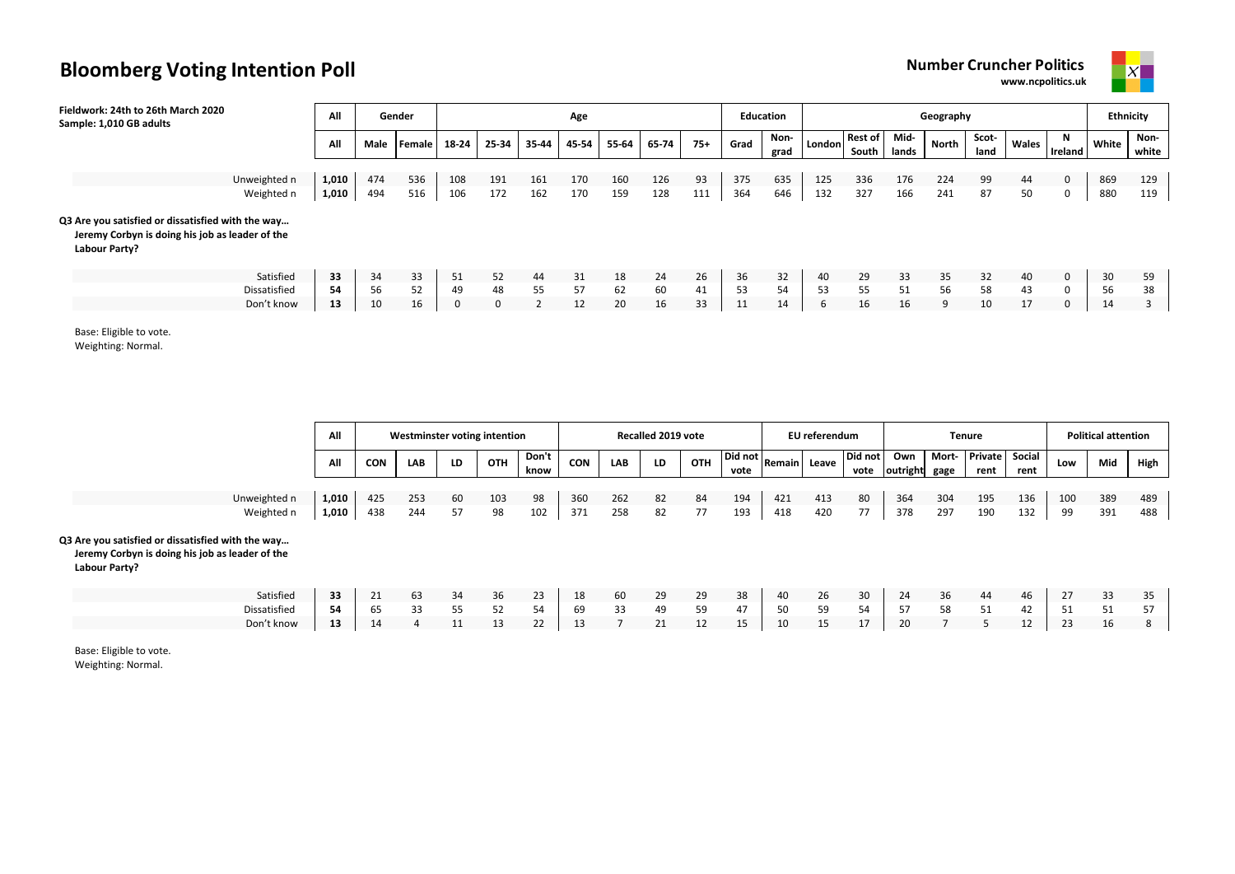**www.ncpolitics.uk**



| Fieldwork: 24th to 26th March 2020<br>Sample: 1,010 GB adults                                                         | All   |      | Gender |       |       |       | Age   |       |       |       |      | Education    | Geography |                  |               |       |               |       |              |       | <b>Ethnicity</b> |  |
|-----------------------------------------------------------------------------------------------------------------------|-------|------|--------|-------|-------|-------|-------|-------|-------|-------|------|--------------|-----------|------------------|---------------|-------|---------------|-------|--------------|-------|------------------|--|
|                                                                                                                       | All   | Male | Female | 18-24 | 25-34 | 35-44 | 45-54 | 55-64 | 65-74 | $75+$ | Grad | Non-<br>grad | London    | Rest of<br>South | Mid-<br>lands | North | Scot-<br>land | Wales | N<br>Ireland | White | Non-<br>white    |  |
|                                                                                                                       |       |      |        |       |       |       |       |       |       |       |      |              |           |                  |               |       |               |       |              |       |                  |  |
| Unweighted n                                                                                                          | 1,010 | 474  | 536    | 108   | 191   | 161   | 170   | 160   | 126   | 93    | 375  | 635          | 125       | 336              | 176           | 224   | 99            | 44    | 0            | 869   | 129              |  |
| Weighted n                                                                                                            | 1,010 | 494  | 516    | 106   | 172   | 162   | 170   | 159   | 128   | 111   | 364  | 646          | 132       | 327              | 166           | 241   | 87            | 50    | 0            | 880   | 119              |  |
| Q3 Are you satisfied or dissatisfied with the way<br>Jeremy Corbyn is doing his job as leader of the<br>Labour Party? |       |      |        |       |       |       |       |       |       |       |      |              |           |                  |               |       |               |       |              |       |                  |  |
| Satisfied                                                                                                             | 33    | 34   | 33     | 51    | 52    | 44    | 31    | 18    | 24    | 26    | 36   | 32           | 40        | 29               | 33            | 35    | 32            | 40    | 0            | 30    | 59               |  |
| Dissatisfied                                                                                                          | 54    | 56   | 52     | 49    | 48    | 55    | 57    | 62    | 60    | 41    | 53   | 54           | 53        | 55               | 51            | 56    | 58            | 43    | 0            | 56    | 38               |  |
| Don't know                                                                                                            | 13    | 10   | 16     | 0     | 0     |       | 12    | 20    | 16    | 33    | 11   | 14           |           | 16               | 16            | 9     | 10            | 17    | 0            | 14    |                  |  |

Base: Eligible to vote.

Weighting: Normal.

|                                                                                                                       | All   |     | Westminster voting intention |    | Recalled 2019 vote |               |            | EU referendum |    |     |                 | Tenure       | <b>Political attention</b> |                 |                 |               |                        |                |     |     |      |
|-----------------------------------------------------------------------------------------------------------------------|-------|-----|------------------------------|----|--------------------|---------------|------------|---------------|----|-----|-----------------|--------------|----------------------------|-----------------|-----------------|---------------|------------------------|----------------|-----|-----|------|
|                                                                                                                       | All   | CON | LAB                          | LD | <b>OTH</b>         | Don't<br>know | <b>CON</b> | LAB           | LD | OTH | Did not<br>vote | Remain Leave |                            | Did not<br>vote | Own<br>outright | Mort-<br>gage | <b>Private</b><br>rent | Social<br>rent | Low | Mid | High |
|                                                                                                                       |       |     |                              |    |                    |               |            |               |    |     |                 |              |                            |                 |                 |               |                        |                |     |     |      |
| Unweighted n                                                                                                          | 1,010 | 425 | 253                          | 60 | 103                | 98            | 360        | 262           | 82 | 84  | 194             | 421          | 413                        | 80              | 364             | 304           | 195                    | 136            | 100 | 389 | 489  |
| Weighted n                                                                                                            | 1,010 | 438 | 244                          | 57 | 98                 | 102           | 371        | 258           | 82 | 77  | 193             | 418          | 420                        | 77              | 378             | 297           | 190                    | 132            | 99  | 391 | 488  |
| Q3 Are you satisfied or dissatisfied with the way<br>Jeremy Corbyn is doing his job as leader of the<br>Labour Party? |       |     |                              |    |                    |               |            |               |    |     |                 |              |                            |                 |                 |               |                        |                |     |     |      |
| Satisfied                                                                                                             | 33    | 21  | 63                           | 34 | 36                 | 23            | 18         | 60            | 29 | 29  | 38              | 40           | 26                         | 30              | 24              | 36            | 44                     | 46             | 27  | 33  | 35   |
| Dissatisfied                                                                                                          | 54    | 65  | 33                           | 55 | 52                 | 54            | 69         | 33            | 49 | 59  | 47              | 50           | 59                         | 54              | 57              | 58            | 51                     | 42             | 51  | 51  | 57   |
| Don't know                                                                                                            | 13    | 14  | 4                            | 11 | 13                 | 22            | 13         |               | 21 | 12  | 15              | 10           | 15                         | 17              | 20              |               |                        | 12             | 23  | 16  | 8    |

Base: Eligible to vote. Weighting: Normal.